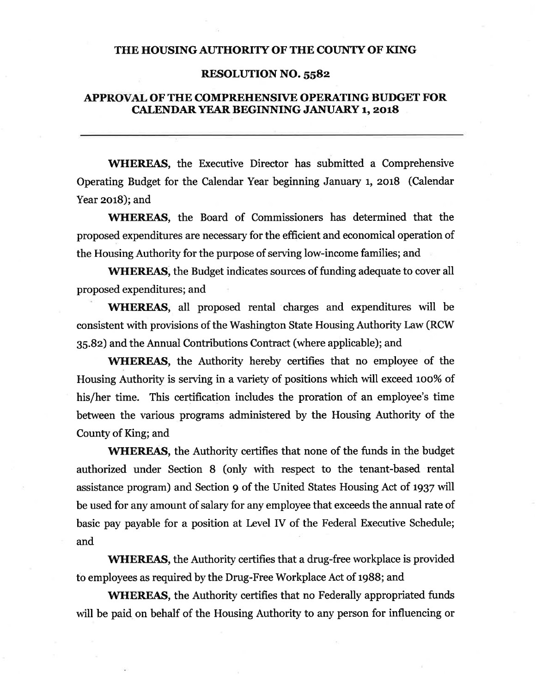## THE HOUSING AUTHORITY OF THE COUNTY OF KING

### **RESOLUTION NO. 5582**

## APPROVAL OF THE COMPREHENSIVE OPERATING BUDGET FOR **CALENDAR YEAR BEGINNING JANUARY 1, 2018**

**WHEREAS**, the Executive Director has submitted a Comprehensive Operating Budget for the Calendar Year beginning January 1, 2018 (Calendar Year 2018); and

WHEREAS, the Board of Commissioners has determined that the proposed expenditures are necessary for the efficient and economical operation of the Housing Authority for the purpose of serving low-income families; and

**WHEREAS**, the Budget indicates sources of funding adequate to cover all proposed expenditures; and

**WHEREAS**, all proposed rental charges and expenditures will be consistent with provisions of the Washington State Housing Authority Law (RCW) 35.82) and the Annual Contributions Contract (where applicable); and

**WHEREAS**, the Authority hereby certifies that no employee of the Housing Authority is serving in a variety of positions which will exceed 100% of his/her time. This certification includes the proration of an employee's time between the various programs administered by the Housing Authority of the County of King; and

**WHEREAS**, the Authority certifies that none of the funds in the budget authorized under Section 8 (only with respect to the tenant-based rental assistance program) and Section 9 of the United States Housing Act of 1937 will be used for any amount of salary for any employee that exceeds the annual rate of basic pay payable for a position at Level IV of the Federal Executive Schedule; and

WHEREAS, the Authority certifies that a drug-free workplace is provided to employees as required by the Drug-Free Workplace Act of 1988; and

**WHEREAS**, the Authority certifies that no Federally appropriated funds will be paid on behalf of the Housing Authority to any person for influencing or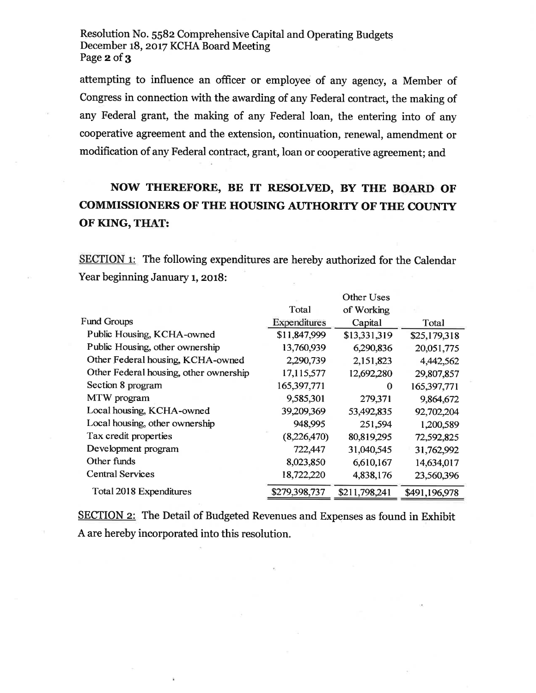Resolution No. 5582 Comprehensive Capital and Operating Budgets December 18, 2017 KCHA Board Meeting Page 2 of 3

attempting to influence an officer or employee of any agency, a Member of Congress in connection with the awarding of any Federal contract, the making of any Federal grant, the making of any Federal loan, the entering into of any cooperative agreement and the extension, continuation, renewal, amendment or modification of any Federal contract, grant, loan or cooperative agreement; and

# NOW THEREFORE, BE IT RESOLVED, BY THE BOARD OF **COMMISSIONERS OF THE HOUSING AUTHORITY OF THE COUNTY** OF KING, THAT:

SECTION 1: The following expenditures are hereby authorized for the Calendar Year beginning January 1, 2018:

|                                        |               | <b>Other Uses</b> |               |
|----------------------------------------|---------------|-------------------|---------------|
|                                        | Total         | of Working        |               |
| <b>Fund Groups</b>                     | Expenditures  | Capital           | Total         |
| Public Housing, KCHA-owned             | \$11,847,999  | \$13,331,319      | \$25,179,318  |
| Public Housing, other ownership        | 13,760,939    | 6,290,836         | 20,051,775    |
| Other Federal housing, KCHA-owned      | 2,290,739     | 2,151,823         | 4,442,562     |
| Other Federal housing, other ownership | 17,115,577    | 12,692,280        | 29,807,857    |
| Section 8 program                      | 165,397,771   | 0                 | 165,397,771   |
| MTW program                            | 9,585,301     | 279,371           | 9,864,672     |
| Local housing, KCHA-owned              | 39,209,369    | 53,492,835        | 92,702,204    |
| Local housing, other ownership         | 948,995       | 251,594           | 1,200,589     |
| Tax credit properties                  | (8,226,470)   | 80,819,295        | 72,592,825    |
| Development program                    | 722,447       | 31,040,545        | 31,762,992    |
| Other funds                            | 8,023,850     | 6,610,167         | 14,634,017    |
| <b>Central Services</b>                | 18,722,220    | 4,838,176         | 23,560,396    |
| Total 2018 Expenditures                | \$279,398,737 | \$211,798,241     | \$491,196,978 |

**SECTION 2:** The Detail of Budgeted Revenues and Expenses as found in Exhibit A are hereby incorporated into this resolution.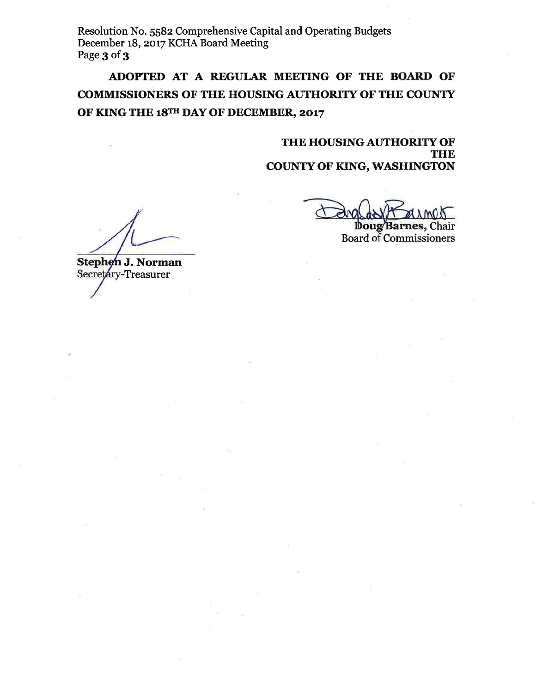Resolution No. 5582 Comprehensive Capital and Operating Budgets December 18, 2017 KCHA Board Meeting Page 3 of 3

ADOPTED AT A REGULAR MEETING OF THE BOARD OF **COMMISSIONERS OF THE HOUSING AUTHORITY OF THE COUNTY** OF KING THE 18TH DAY OF DECEMBER, 2017

> THE HOUSING AUTHORITY OF **THE COUNTY OF KING, WASHINGTON**

Doug Barnes, Chair **Board of Commissioners** 

Stephen J. Norman Secretary-Treasurer